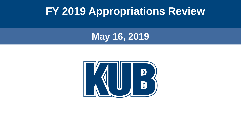#### **FY 2019 Appropriations Review**

#### **May 16, 2019**

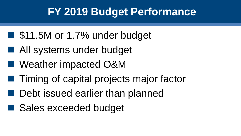## **FY 2019 Budget Performance**

- \$11.5M or 1.7% under budget
- All systems under budget
- Weather impacted O&M
- Timing of capital projects major factor
- Debt issued earlier than planned
- Sales exceeded budget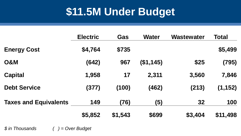# **\$11.5M Under Budget**

|                              | <b>Electric</b> | Gas     | <b>Water</b> | <b>Wastewater</b> | <b>Total</b> |
|------------------------------|-----------------|---------|--------------|-------------------|--------------|
| <b>Energy Cost</b>           | \$4,764         | \$735   |              |                   | \$5,499      |
| <b>O&amp;M</b>               | (642)           | 967     | (\$1,145)    | \$25              | (795)        |
| <b>Capital</b>               | 1,958           | 17      | 2,311        | 3,560             | 7,846        |
| <b>Debt Service</b>          | (377)           | (100)   | (462)        | (213)             | (1, 152)     |
| <b>Taxes and Equivalents</b> | 149             | (76)    | (5)          | 32                | 100          |
|                              | \$5,852         | \$1,543 | \$699        | \$3,404           | \$11,498     |

*\$ in Thousands ( ) = Over Budget*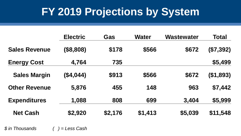## **FY 2019 Projections by System**

|                      | <b>Electric</b> | <b>Gas</b> | <b>Water</b> | <b>Wastewater</b> | <b>Total</b> |
|----------------------|-----------------|------------|--------------|-------------------|--------------|
| <b>Sales Revenue</b> | (\$8,808)       | \$178      | \$566        | \$672             | (\$7,392)    |
| <b>Energy Cost</b>   | 4,764           | 735        |              |                   | \$5,499      |
| <b>Sales Margin</b>  | (\$4,044)       | \$913      | \$566        | \$672             | ( \$1,893)   |
| <b>Other Revenue</b> | 5,876           | 455        | 148          | 963               | \$7,442      |
| <b>Expenditures</b>  | 1,088           | 808        | 699          | 3,404             | \$5,999      |
| <b>Net Cash</b>      | \$2,920         | \$2,176    | \$1,413      | \$5,039           | \$11,548     |

*\$ in Thousands ( ) = Less Cash*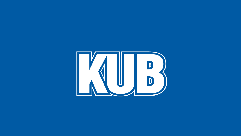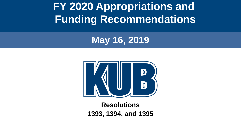**FY 2020 Appropriations and Funding Recommendations**

#### **May 16, 2019**



#### **Resolutions 1393, 1394, and 1395**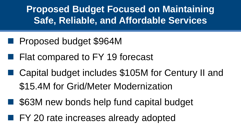**Proposed Budget Focused on Maintaining Safe, Reliable, and Affordable Services**

- Proposed budget \$964M
- Flat compared to FY 19 forecast
- Capital budget includes \$105M for Century II and \$15.4M for Grid/Meter Modernization
- \$63M new bonds help fund capital budget
- FY 20 rate increases already adopted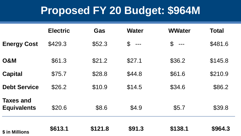## **Proposed FY 20 Budget: \$964M**

|                                        | <b>Electric</b> | Gas     | <b>Water</b> | <b>WWater</b> | <b>Total</b> |
|----------------------------------------|-----------------|---------|--------------|---------------|--------------|
| <b>Energy Cost</b>                     | \$429.3         | \$52.3  | $$$ ---      | $$$ ---       | \$481.6      |
| <b>O&amp;M</b>                         | \$61.3          | \$21.2  | \$27.1       | \$36.2        | \$145.8      |
| <b>Capital</b>                         | \$75.7          | \$28.8  | \$44.8       | \$61.6        | \$210.9      |
| <b>Debt Service</b>                    | \$26.2          | \$10.9  | \$14.5       | \$34.6        | \$86.2       |
| <b>Taxes and</b><br><b>Equivalents</b> | \$20.6          | \$8.6   | \$4.9        | \$5.7         | \$39.8       |
| \$ in Millions                         | \$613.1         | \$121.8 | \$91.3       | \$138.1       | \$964.3      |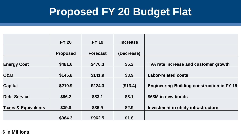## **Proposed FY 20 Budget Flat**

|                                | <b>FY 20</b>    | <b>FY 19</b>    | <b>Increase</b> |                                                   |
|--------------------------------|-----------------|-----------------|-----------------|---------------------------------------------------|
|                                | <b>Proposed</b> | <b>Forecast</b> | (Decrease)      |                                                   |
| <b>Energy Cost</b>             | \$481.6         | \$476.3         | \$5.3           | TVA rate increase and customer growth             |
| <b>O&amp;M</b>                 | \$145.8         | \$141.9         | \$3.9           | <b>Labor-related costs</b>                        |
| <b>Capital</b>                 | \$210.9         | \$224.3         | (\$13.4)        | <b>Engineering Building construction in FY 19</b> |
| <b>Debt Service</b>            | \$86.2          | \$83.1          | \$3.1           | \$63M in new bonds                                |
| <b>Taxes &amp; Equivalents</b> | \$39.8          | \$36.9          | \$2.9           | Investment in utility infrastructure              |
|                                | \$964.3         | \$962.5         | \$1.8           |                                                   |

#### **\$ in Millions**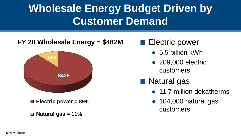# **Wholesale Energy Budget Driven by Customer Demand**

#### **FY 20 Wholesale Energy = \$482M**



- **Electric power = 89%**
- **Natural gas = 11%**
- Electric power
	- $\bullet$  5.5 billion kWh
	- 209,000 electric customers
- Natural gas
	- 11.7 million dekatherms
	- 104,000 natural gas customers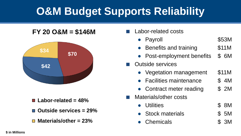# **O&M Budget Supports Reliability**

#### **FY 20 O&M = \$146M**



- **Labor-related = 48%**
- **Outside services = 29%**
- **Materials/other = 23%**
- Labor-related costs
	- Payroll \$53M
	- Benefits and training \$11M
	- Post-employment benefits \$6M

#### Outside services

- Vegetation management \$11M
- Facilities maintenance 5 4M
- Contract meter reading \$2M
- Materials/other costs
	- Utilities \$ 8M
	- Stock materials **\$5M**
	- Chemicals **\$** 3M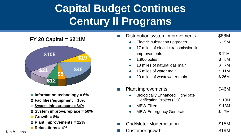# **Capital Budget Continues Century II Programs**

**FY 20 Capital = \$211M**



- Information technology = 6%
- **Facilities/equipment = 10%**
- **System infrastructure = 84%**
- **System improve/replace = 50%**
- $\Box$  Growth =  $8\%$
- **Plant improvements = 22%**
- **Relocations = 4%**

#### improvements \$ 11M  $\bullet$  1,900 poles  $\bullet$  5M 18 miles of natural gas main  $\frac{18}{10}$  TM 15 miles of water main  $\frac{15}{10}$  S 11M 20 miles of wastewater main  $\sim$  \$ 26M Plant improvements \$46M ● Biologically Enhanced High-Rate Clarification Project (CD) \$19M MBW Filters \$ 13M ● MBW Emergency Generator \$ 7M ■ Grid/Meter Modernization \$15M Customer growth  $$19M$

Distribution system improvements \$88M

● 17 miles of electric transmission line

Electric substation upgrades  $$9M$ 

**\$ in Millions**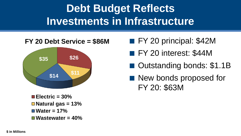# **Debt Budget Reflects Investments in Infrastructure**



- FY 20 principal: \$42M
- FY 20 interest: \$44M
- Outstanding bonds: \$1.1B
- New bonds proposed for FY 20: \$63M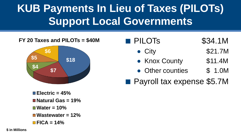# **KUB Payments In Lieu of Taxes (PILOTs) Support Local Governments**



| <b>PILOTS</b>              | \$34.1M |
|----------------------------|---------|
| $\bullet$ City             | \$21.7M |
| • Knox County              | \$11.4M |
| • Other counties           | \$ 1.0M |
| Payroll tax expense \$5.7M |         |

**Electric = 45% Natural Gas = 19% Water = 10% Wastewater = 12% FICA = 14%**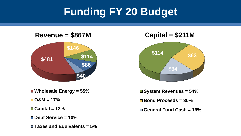# **Funding FY 20 Budget**

**Revenue = \$867M**



- **Wholesale Energy = 55%**
- **O&M = 17%**
- **Capital = 13%**
- **Debt Service = 10%**
- **Taxes and Equivalents = 5%**

**Capital = \$211M**



**System Revenues = 54%**

**Bond Proceeds = 30%**

**General Fund Cash = 16%**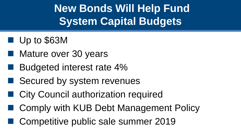**New Bonds Will Help Fund System Capital Budgets**

- Up to \$63M
- Mature over 30 years
- Budgeted interest rate 4%
- Secured by system revenues
- City Council authorization required
- Comply with KUB Debt Management Policy
- Competitive public sale summer 2019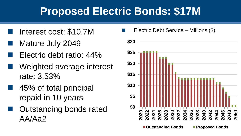## **Proposed Electric Bonds: \$17M**

- Interest cost: \$10.7M
- Mature July 2049
- Electric debt ratio: 44%
- Weighted average interest rate: 3.53%
- 45% of total principal repaid in 10 years
- Outstanding bonds rated AA/Aa2

Electric Debt Service – Millions (\$)

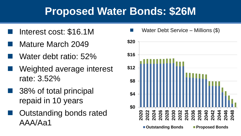## **Proposed Water Bonds: \$26M**

- Interest cost: \$16.1M
- Mature March 2049
- Water debt ratio: 52%
- Weighted average interest rate: 3.52%
	- 38% of total principal repaid in 10 years
	- Outstanding bonds rated AAA/Aa1

Water Debt Service – Millions  $(\$)$ 

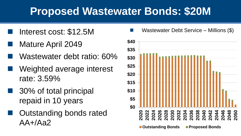## **Proposed Wastewater Bonds: \$20M**

- Interest cost: \$12.5M
- Mature April 2049
- Wastewater debt ratio: 60%
- Weighted average interest rate: 3.59%
	- ◼ 30% of total principal repaid in 10 years
	- Outstanding bonds rated AA+/Aa2

Wastewater Debt Service – Millions  $(\$)$ 

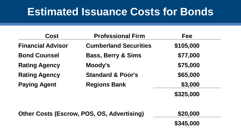#### **Estimated Issuance Costs for Bonds**

| <b>Cost</b>              | <b>Professional Firm</b>      | <b>Fee</b> |
|--------------------------|-------------------------------|------------|
| <b>Financial Advisor</b> | <b>Cumberland Securities</b>  | \$105,000  |
| <b>Bond Counsel</b>      | <b>Bass, Berry &amp; Sims</b> | \$77,000   |
| <b>Rating Agency</b>     | Moody's                       | \$75,000   |
| <b>Rating Agency</b>     | <b>Standard &amp; Poor's</b>  | \$65,000   |
| <b>Paying Agent</b>      | <b>Regions Bank</b>           | \$3,000    |
|                          |                               | \$325,000  |

| Other Costs (Escrow, POS, OS, Advertising) | \$20,000  |
|--------------------------------------------|-----------|
|                                            | \$345,000 |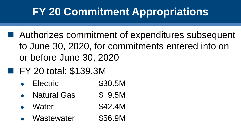## **FY 20 Commitment Appropriations**

- Authorizes commitment of expenditures subsequent to June 30, 2020, for commitments entered into on or before June 30, 2020
- FY 20 total: \$139.3M
	- Electric \$30.5M
	- Natural Gas \$ 9.5M
	- Water \$42.4M
	- Wastewater \$56.9M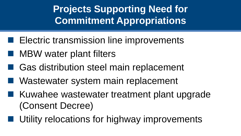**Projects Supporting Need for Commitment Appropriations**

- Electric transmission line improvements
- MBW water plant filters
- Gas distribution steel main replacement
- Wastewater system main replacement
- Kuwahee wastewater treatment plant upgrade (Consent Decree)
	- Utility relocations for highway improvements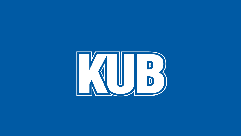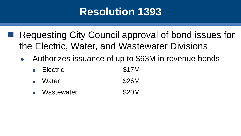Requesting City Council approval of bond issues for the Electric, Water, and Wastewater Divisions

- Authorizes issuance of up to \$63M in revenue bonds
	- Electric \$17M
	- Water \$26M
	- Wastewater **\$20M**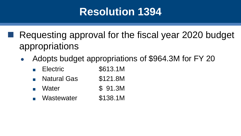Requesting approval for the fiscal year 2020 budget appropriations

- Adopts budget appropriations of \$964.3M for FY 20
	- Electric \$613.1M
	- Natural Gas \$121.8M
	- Water **\$ 91.3M**
	- Wastewater \$138.1M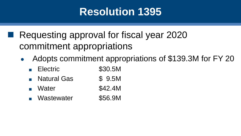Requesting approval for fiscal year 2020 commitment appropriations

- Adopts commitment appropriations of \$139.3M for FY 20
	- Electric \$30.5M
	- Natural Gas \$ 9.5M
	- Water \$42.4M
	- Wastewater \$56.9M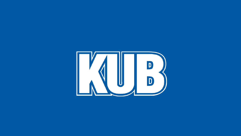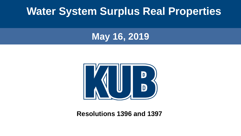#### **Water System Surplus Real Properties**

#### **May 16, 2019**



**Resolutions 1396 and 1397**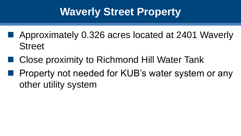# **Waverly Street Property**

- Approximately 0.326 acres located at 2401 Waverly **Street**
- Close proximity to Richmond Hill Water Tank
- Property not needed for KUB's water system or any other utility system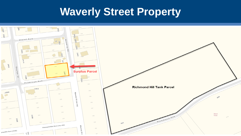#### **Waverly Street Property**

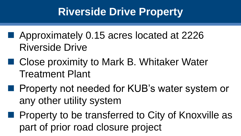# **Riverside Drive Property**

- Approximately 0.15 acres located at 2226 Riverside Drive
- Close proximity to Mark B. Whitaker Water Treatment Plant
- Property not needed for KUB's water system or any other utility system
- Property to be transferred to City of Knoxville as part of prior road closure project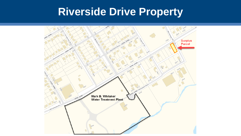## **Riverside Drive Property**

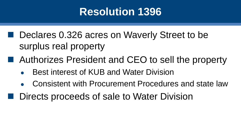- Declares 0.326 acres on Waverly Street to be surplus real property
- Authorizes President and CEO to sell the property
	- **Best interest of KUB and Water Division**
	- Consistent with Procurement Procedures and state law
- Directs proceeds of sale to Water Division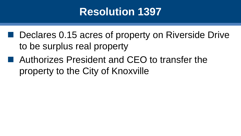- Declares 0.15 acres of property on Riverside Drive to be surplus real property
- Authorizes President and CEO to transfer the property to the City of Knoxville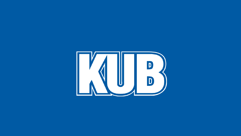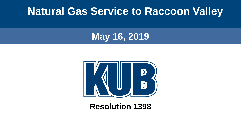#### **Natural Gas Service to Raccoon Valley**

#### **May 16, 2019**



#### **Resolution 1398**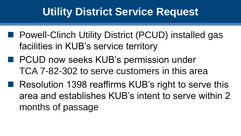## **Utility District Service Request**

- Powell-Clinch Utility District (PCUD) installed gas facilities in KUB's service territory
- PCUD now seeks KUB's permission under TCA 7-82-302 to serve customers in this area
- Resolution 1398 reaffirms KUB's right to serve this area and establishes KUB's intent to serve within 2 months of passage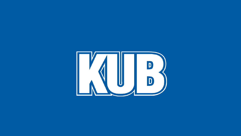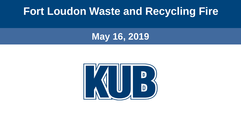#### **Fort Loudon Waste and Recycling Fire**

#### **May 16, 2019**

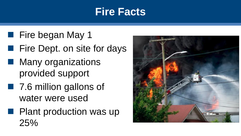#### **Fire Facts**

- Fire began May 1
- Fire Dept. on site for days
- Many organizations provided support
- 7.6 million gallons of water were used
- Plant production was up 25%

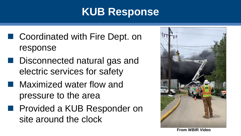# **KUB Response**

- Coordinated with Fire Dept. on response
- Disconnected natural gas and electric services for safety
- Maximized water flow and pressure to the area
- Provided a KUB Responder on site around the clock



**From WBIR Video**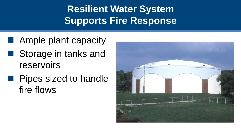**Resilient Water System Supports Fire Response**

- Ample plant capacity
- Storage in tanks and reservoirs
- Pipes sized to handle fire flows

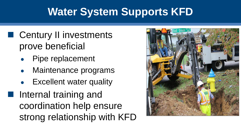# **Water System Supports KFD**

- Century II investments prove beneficial
	- Pipe replacement
	- Maintenance programs
	- **Excellent water quality**

■ Internal training and coordination help ensure strong relationship with KFD